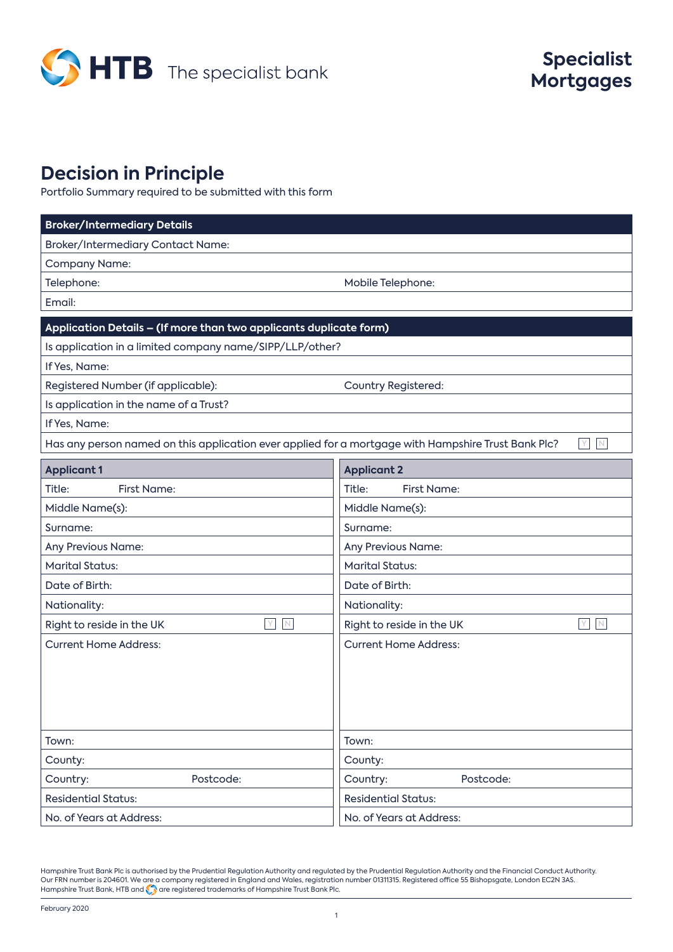

# **Decision in Principle**

Portfolio Summary required to be submitted with this form

| <b>Broker/Intermediary Details</b>                                                                  |                                                |  |
|-----------------------------------------------------------------------------------------------------|------------------------------------------------|--|
| Broker/Intermediary Contact Name:                                                                   |                                                |  |
| <b>Company Name:</b>                                                                                |                                                |  |
| Telephone:                                                                                          | Mobile Telephone:                              |  |
| Email:                                                                                              |                                                |  |
| Application Details - (If more than two applicants duplicate form)                                  |                                                |  |
| Is application in a limited company name/SIPP/LLP/other?                                            |                                                |  |
| If Yes, Name:                                                                                       |                                                |  |
| Registered Number (if applicable):                                                                  | Country Registered:                            |  |
| Is application in the name of a Trust?                                                              |                                                |  |
| If Yes, Name:                                                                                       |                                                |  |
| Has any person named on this application ever applied for a mortgage with Hampshire Trust Bank Plc? | Υ<br>N                                         |  |
| <b>Applicant 1</b>                                                                                  | <b>Applicant 2</b>                             |  |
| First Name:<br>Title:                                                                               | Title:<br><b>First Name:</b>                   |  |
| Middle Name(s):                                                                                     | Middle Name(s):                                |  |
| Surname:                                                                                            | Surname:                                       |  |
| Any Previous Name:                                                                                  | Any Previous Name:                             |  |
| <b>Marital Status:</b>                                                                              | <b>Marital Status:</b>                         |  |
| Date of Birth:<br>Date of Birth:                                                                    |                                                |  |
| Nationality:                                                                                        | Nationality:                                   |  |
| $\hbox{N}$<br>IY.<br>Right to reside in the UK                                                      | $\mathbb N$<br>Y.<br>Right to reside in the UK |  |
| <b>Current Home Address:</b>                                                                        | <b>Current Home Address:</b>                   |  |
|                                                                                                     |                                                |  |
|                                                                                                     |                                                |  |
|                                                                                                     |                                                |  |
|                                                                                                     |                                                |  |
| Town:                                                                                               | Town:                                          |  |
| County:                                                                                             | County:                                        |  |
| Postcode:<br>Country:                                                                               | Postcode:<br>Country:                          |  |
| <b>Residential Status:</b>                                                                          | <b>Residential Status:</b>                     |  |
| No. of Years at Address:                                                                            | No. of Years at Address:                       |  |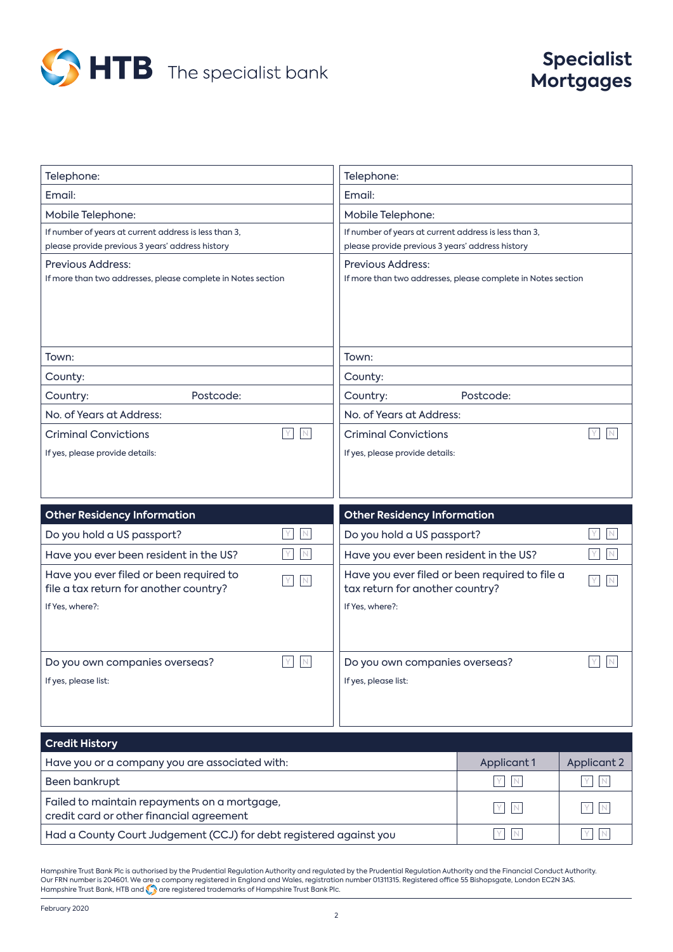

## **Specialist Mortgages**

| Telephone:                                                    | Telephone:                                                         |
|---------------------------------------------------------------|--------------------------------------------------------------------|
| Email:                                                        | Email:                                                             |
| Mobile Telephone:                                             | Mobile Telephone:                                                  |
| If number of years at current address is less than 3,         | If number of years at current address is less than 3,              |
| please provide previous 3 years' address history              | please provide previous 3 years' address history                   |
| <b>Previous Address:</b>                                      | <b>Previous Address:</b>                                           |
| If more than two addresses, please complete in Notes section  | If more than two addresses, please complete in Notes section       |
|                                                               |                                                                    |
|                                                               |                                                                    |
|                                                               |                                                                    |
| Town:                                                         | Town:                                                              |
| County:                                                       | County:                                                            |
| Postcode:<br>Country:                                         | Country:<br>Postcode:                                              |
| No. of Years at Address:                                      | No. of Years at Address:                                           |
| Y.<br>N<br><b>Criminal Convictions</b>                        | <b>Criminal Convictions</b><br>Y<br>N                              |
| If yes, please provide details:                               | If yes, please provide details:                                    |
|                                                               |                                                                    |
|                                                               |                                                                    |
| <b>Other Residency Information</b>                            | <b>Other Residency Information</b>                                 |
| $\mathbb N$<br>Do you hold a US passport?                     | Do you hold a US passport?<br>N                                    |
| $\mathbb N$<br>Have you ever been resident in the US?         | Have you ever been resident in the US?<br>$\mathbb N$<br>Y         |
| Have you ever filed or been required to<br>$\mathbb N$        | Have you ever filed or been required to file a<br>Y<br>$\mathbb N$ |
| file a tax return for another country?                        | tax return for another country?                                    |
| If Yes, where?:                                               | If Yes, where?:                                                    |
|                                                               |                                                                    |
|                                                               |                                                                    |
| $\mathsf{Y}$<br>$\mathbb N$<br>Do you own companies overseas? | Y<br>$\mathbb N$<br>Do you own companies overseas?                 |
| If yes, please list:                                          | If yes, please list:                                               |
|                                                               |                                                                    |
|                                                               |                                                                    |

| <b>Credit History</b>                                                                    |             |             |
|------------------------------------------------------------------------------------------|-------------|-------------|
| Have you or a company you are associated with:                                           | Applicant 1 | Applicant 2 |
| Been bankrupt                                                                            | YIN         | I N         |
| Failed to maintain repayments on a mortgage,<br>credit card or other financial agreement | YIN         | Y N         |
| Had a County Court Judgement (CCJ) for debt registered against you                       | YIN         | $\vee$      |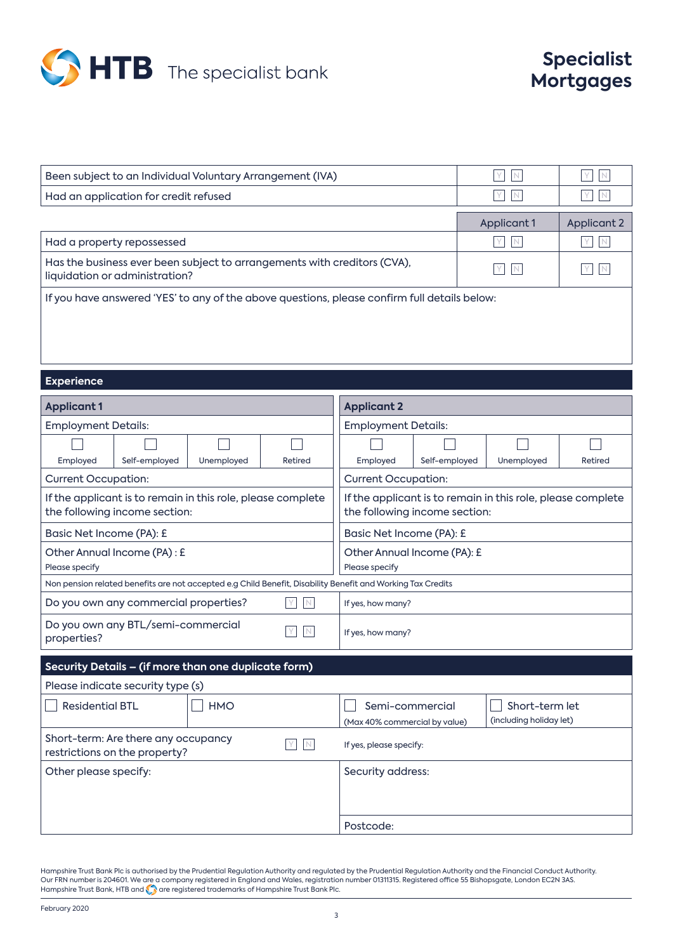

| Been subject to an Individual Voluntary Arrangement (IVA)                                                  |             |             |  |
|------------------------------------------------------------------------------------------------------------|-------------|-------------|--|
| Had an application for credit refused                                                                      | Y I N       |             |  |
|                                                                                                            | Applicant 1 | Applicant 2 |  |
| Had a property repossessed                                                                                 | Y N         |             |  |
| Has the business ever been subject to arrangements with creditors (CVA),<br>liquidation or administration? | YIN         |             |  |
| If you have answered 'YES' to any of the above questions, please confirm full details below:               |             |             |  |

## **Experience**

| <b>Applicant 1</b>                                                                                          |               | <b>Applicant 2</b>                                                                           |                            |          |               |            |         |
|-------------------------------------------------------------------------------------------------------------|---------------|----------------------------------------------------------------------------------------------|----------------------------|----------|---------------|------------|---------|
| <b>Employment Details:</b>                                                                                  |               | <b>Employment Details:</b>                                                                   |                            |          |               |            |         |
|                                                                                                             |               |                                                                                              |                            |          |               |            |         |
| Employed                                                                                                    | Self-employed | Unemployed                                                                                   | Retired                    | Employed | Self-employed | Unemployed | Retired |
| <b>Current Occupation:</b>                                                                                  |               |                                                                                              | <b>Current Occupation:</b> |          |               |            |         |
| If the applicant is to remain in this role, please complete<br>the following income section:                |               | If the applicant is to remain in this role, please complete<br>the following income section: |                            |          |               |            |         |
| Basic Net Income (PA): £                                                                                    |               | Basic Net Income (PA): £                                                                     |                            |          |               |            |         |
| Other Annual Income (PA) : £<br>Please specify                                                              |               | Other Annual Income (PA): £<br>Please specify                                                |                            |          |               |            |         |
| Non pension related benefits are not accepted e.g Child Benefit, Disability Benefit and Working Tax Credits |               |                                                                                              |                            |          |               |            |         |
| Do you own any commercial properties?<br>$\mathbb N$                                                        |               |                                                                                              | If yes, how many?          |          |               |            |         |
| Do you own any BTL/semi-commercial<br>N<br>properties?                                                      |               |                                                                                              | If yes, how many?          |          |               |            |         |
| Security Details - (if more than one duplicate form)                                                        |               |                                                                                              |                            |          |               |            |         |

| Please indicate security type (s)                                    |            |                                                  |                                           |
|----------------------------------------------------------------------|------------|--------------------------------------------------|-------------------------------------------|
| <b>Residential BTL</b>                                               | <b>HMO</b> | Semi-commercial<br>(Max 40% commercial by value) | Short-term let<br>(including holiday let) |
| Short-term: Are there any occupancy<br>restrictions on the property? |            | If yes, please specify:                          |                                           |
| Other please specify:                                                |            | Security address:                                |                                           |
|                                                                      |            |                                                  |                                           |
|                                                                      |            |                                                  |                                           |
|                                                                      |            | Postcode:                                        |                                           |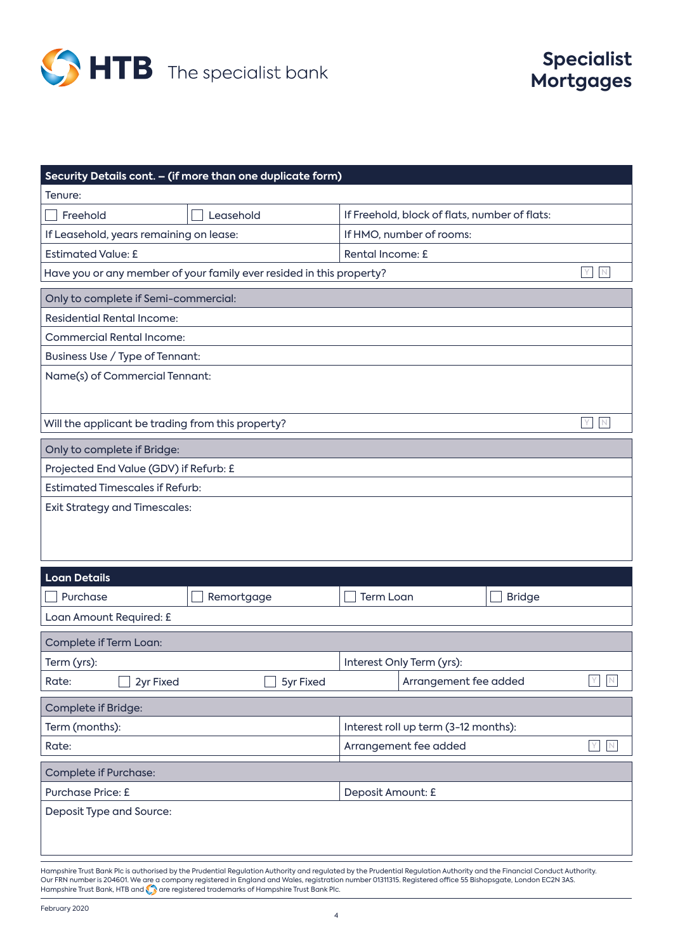

| Security Details cont. - (if more than one duplicate form)           |                                               |
|----------------------------------------------------------------------|-----------------------------------------------|
| Tenure:                                                              |                                               |
| Freehold<br>Leasehold                                                | If Freehold, block of flats, number of flats: |
| If Leasehold, years remaining on lease:                              | If HMO, number of rooms:                      |
| <b>Estimated Value: £</b>                                            | Rental Income: £                              |
| Have you or any member of your family ever resided in this property? | Y.<br>$\mathbb N$                             |
| Only to complete if Semi-commercial:                                 |                                               |
| <b>Residential Rental Income:</b>                                    |                                               |
| <b>Commercial Rental Income:</b>                                     |                                               |
| Business Use / Type of Tennant:                                      |                                               |
| Name(s) of Commercial Tennant:                                       |                                               |
|                                                                      |                                               |
| Will the applicant be trading from this property?                    | Y                                             |
| Only to complete if Bridge:                                          |                                               |
| Projected End Value (GDV) if Refurb: £                               |                                               |
| <b>Estimated Timescales if Refurb:</b>                               |                                               |
| <b>Exit Strategy and Timescales:</b>                                 |                                               |
|                                                                      |                                               |
|                                                                      |                                               |
|                                                                      |                                               |
| <b>Loan Details</b>                                                  |                                               |
| Purchase<br>Remortgage                                               | <b>Term Loan</b><br><b>Bridge</b>             |
| Loan Amount Required: £                                              |                                               |
| Complete if Term Loan:                                               |                                               |
| Term (yrs):                                                          | Interest Only Term (yrs):                     |
| Rate:<br>2yr Fixed<br>5yr Fixed                                      | Arrangement fee added<br>N                    |
| Complete if Bridge:                                                  |                                               |
| Term (months):                                                       | Interest roll up term (3-12 months):          |
| Rate:                                                                | Arrangement fee added<br>$\,N\,$<br>Y.        |
| <b>Complete if Purchase:</b>                                         |                                               |
| Purchase Price: £                                                    | Deposit Amount: £                             |
| Deposit Type and Source:                                             |                                               |
|                                                                      |                                               |
|                                                                      |                                               |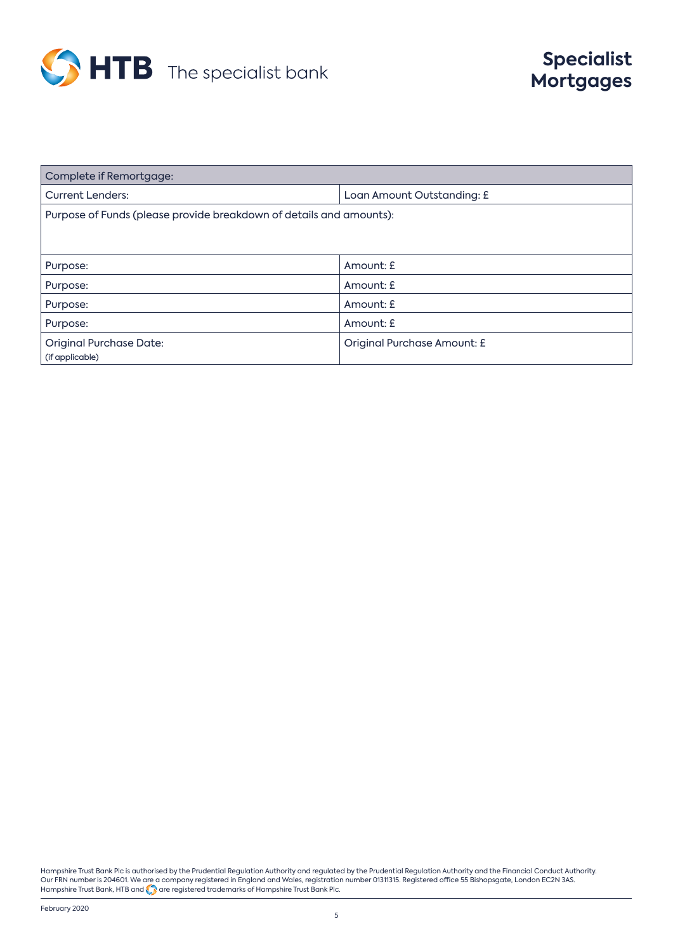

| Complete if Remortgage:                                             |                                    |  |
|---------------------------------------------------------------------|------------------------------------|--|
| <b>Current Lenders:</b>                                             | Loan Amount Outstanding: £         |  |
| Purpose of Funds (please provide breakdown of details and amounts): |                                    |  |
|                                                                     |                                    |  |
|                                                                     |                                    |  |
| Purpose:                                                            | Amount: £                          |  |
| Purpose:                                                            | Amount: £                          |  |
| Purpose:                                                            | Amount: £                          |  |
| Purpose:                                                            | Amount: £                          |  |
| <b>Original Purchase Date:</b>                                      | <b>Original Purchase Amount: £</b> |  |
| (if applicable)                                                     |                                    |  |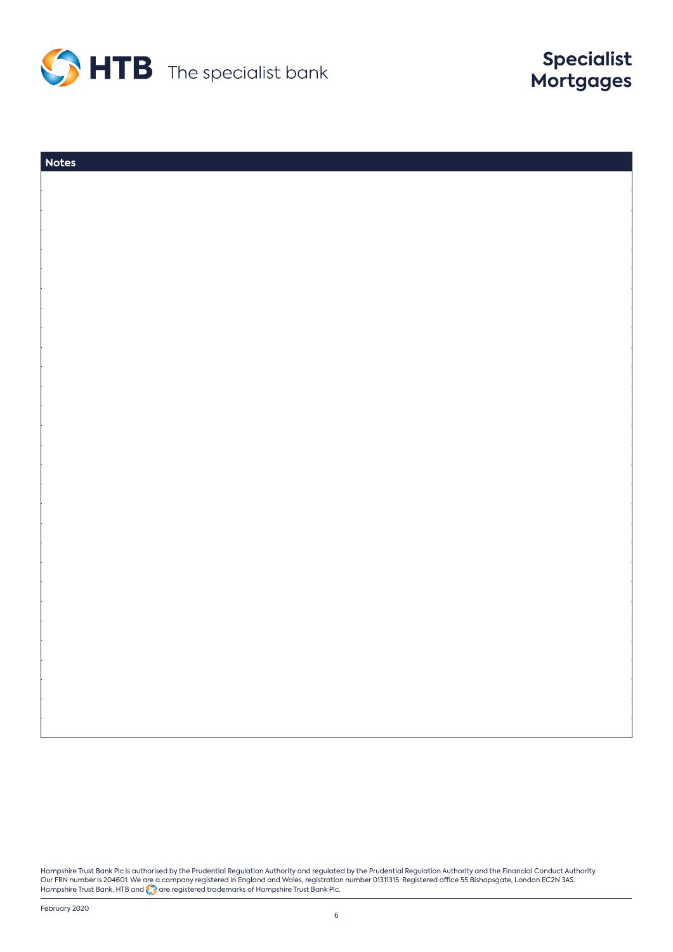

| <b>Notes</b> |  |
|--------------|--|
|              |  |
|              |  |
|              |  |
|              |  |
|              |  |
|              |  |
|              |  |
|              |  |
|              |  |
|              |  |
|              |  |
|              |  |
|              |  |
|              |  |
|              |  |
|              |  |
|              |  |
|              |  |
|              |  |
|              |  |
|              |  |
|              |  |
|              |  |
|              |  |
|              |  |
|              |  |
|              |  |
|              |  |
|              |  |
|              |  |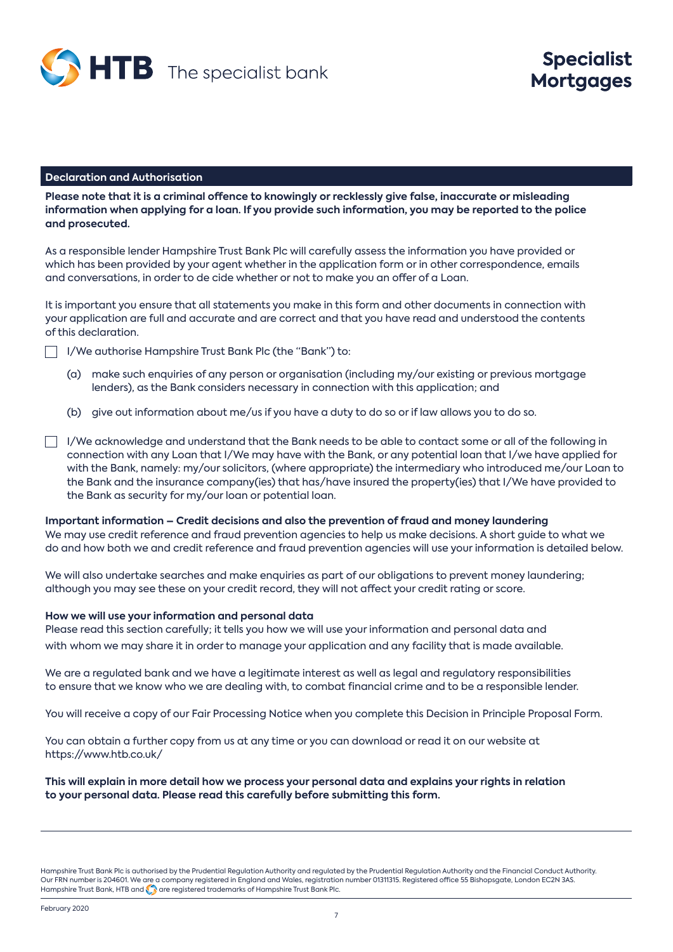

#### **Declaration and Authorisation**

**Please note that it is a criminal offence to knowingly or recklessly give false, inaccurate or misleading information when applying for a loan. If you provide such information, you may be reported to the police and prosecuted.**

As a responsible lender Hampshire Trust Bank Plc will carefully assess the information you have provided or which has been provided by your agent whether in the application form or in other correspondence, emails and conversations, in order to de cide whether or not to make you an offer of a Loan.

It is important you ensure that all statements you make in this form and other documents in connection with your application are full and accurate and are correct and that you have read and understood the contents of this declaration.

- I/We authorise Hampshire Trust Bank Plc (the "Bank") to:
	- (a) make such enquiries of any person or organisation (including my/our existing or previous mortgage lenders), as the Bank considers necessary in connection with this application; and
	- (b) give out information about me/us if you have a duty to do so or if law allows you to do so.
- $\Box$  I/We acknowledge and understand that the Bank needs to be able to contact some or all of the following in connection with any Loan that I/We may have with the Bank, or any potential loan that I/we have applied for with the Bank, namely: my/our solicitors, (where appropriate) the intermediary who introduced me/our Loan to the Bank and the insurance company(ies) that has/have insured the property(ies) that I/We have provided to the Bank as security for my/our loan or potential loan.

**Important information – Credit decisions and also the prevention of fraud and money laundering** We may use credit reference and fraud prevention agencies to help us make decisions. A short guide to what we do and how both we and credit reference and fraud prevention agencies will use your information is detailed below.

We will also undertake searches and make enquiries as part of our obligations to prevent money laundering; although you may see these on your credit record, they will not affect your credit rating or score.

#### **How we will use your information and personal data**

Please read this section carefully; it tells you how we will use your information and personal data and with whom we may share it in order to manage your application and any facility that is made available.

We are a regulated bank and we have a legitimate interest as well as legal and regulatory responsibilities to ensure that we know who we are dealing with, to combat financial crime and to be a responsible lender.

You will receive a copy of our Fair Processing Notice when you complete this Decision in Principle Proposal Form.

You can obtain a further copy from us at any time or you can download or read it on our website at https://www.htb.co.uk/

**This will explain in more detail how we process your personal data and explains your rights in relation to your personal data. Please read this carefully before submitting this form.**

Hampshire Trust Bank Plc is authorised by the Prudential Regulation Authority and regulated by the Prudential Regulation Authority and the Financial Conduct Authority. Our FRN number is 204601. We are a company registered in England and Wales, registration number 01311315. Registered office 55 Bishopsgate, London EC2N 3AS. Hampshire Trust Bank, HTB and **Co** are registered trademarks of Hampshire Trust Bank Plc.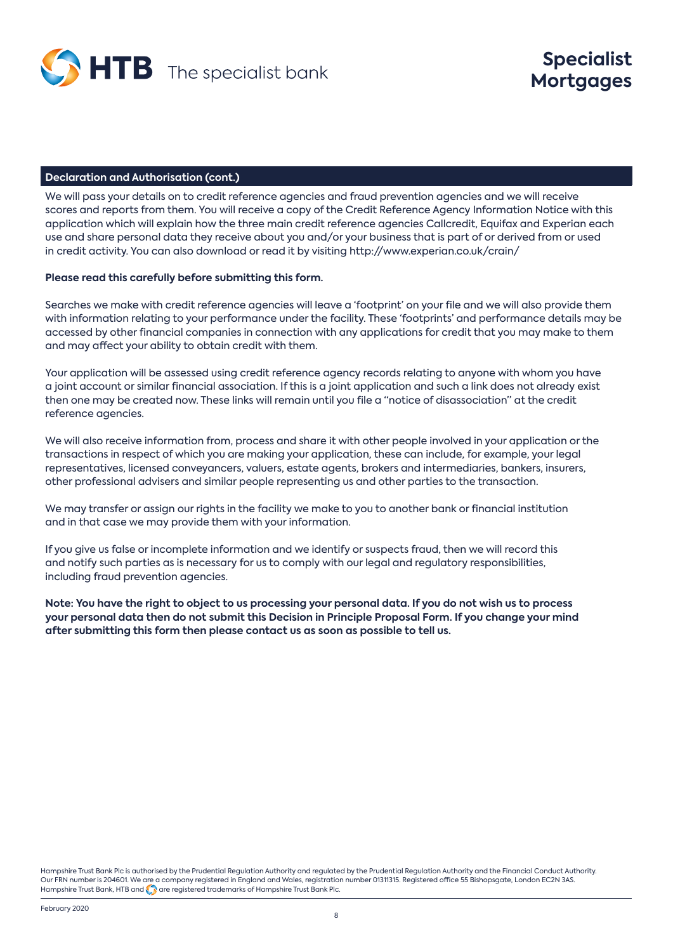

#### **Declaration and Authorisation (cont.)**

We will pass your details on to credit reference agencies and fraud prevention agencies and we will receive scores and reports from them. You will receive a copy of the Credit Reference Agency Information Notice with this application which will explain how the three main credit reference agencies Callcredit, Equifax and Experian each use and share personal data they receive about you and/or your business that is part of or derived from or used in credit activity. You can also download or read it by visiting http://www.experian.co.uk/crain/

#### **Please read this carefully before submitting this form.**

Searches we make with credit reference agencies will leave a 'footprint' on your file and we will also provide them with information relating to your performance under the facility. These 'footprints' and performance details may be accessed by other financial companies in connection with any applications for credit that you may make to them and may affect your ability to obtain credit with them.

Your application will be assessed using credit reference agency records relating to anyone with whom you have a joint account or similar financial association. If this is a joint application and such a link does not already exist then one may be created now. These links will remain until you file a "notice of disassociation" at the credit reference agencies.

We will also receive information from, process and share it with other people involved in your application or the transactions in respect of which you are making your application, these can include, for example, your legal representatives, licensed conveyancers, valuers, estate agents, brokers and intermediaries, bankers, insurers, other professional advisers and similar people representing us and other parties to the transaction.

We may transfer or assign our rights in the facility we make to you to another bank or financial institution and in that case we may provide them with your information.

If you give us false or incomplete information and we identify or suspects fraud, then we will record this and notify such parties as is necessary for us to comply with our legal and regulatory responsibilities, including fraud prevention agencies.

**Note: You have the right to object to us processing your personal data. If you do not wish us to process your personal data then do not submit this Decision in Principle Proposal Form. If you change your mind after submitting this form then please contact us as soon as possible to tell us.**

Hampshire Trust Bank Plc is authorised by the Prudential Regulation Authority and regulated by the Prudential Regulation Authority and the Financial Conduct Authority. Our FRN number is 204601. We are a company registered in England and Wales, registration number 01311315. Registered office 55 Bishopsgate, London EC2N 3AS. Hampshire Trust Bank, HTB and **Co** are registered trademarks of Hampshire Trust Bank Plc.